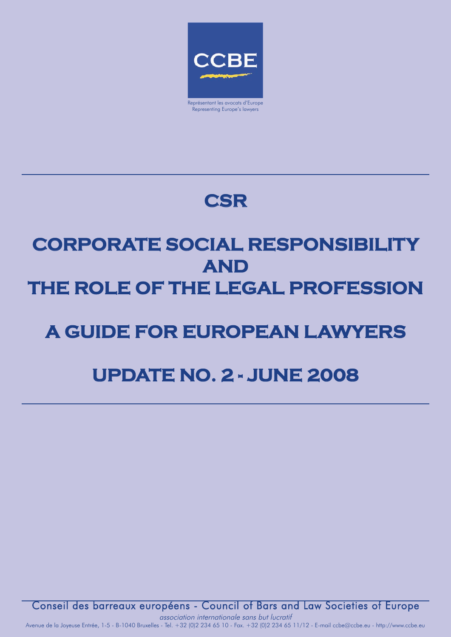

## **CSR**

# **CORPORATE SOCIAL RESPONSIBILITY AND THE ROLE OF THE LEGAL PROFESSION**

## **A GUIDE FOR EUROPEAN LAWYERS**

## **UPDATE NO. 2 - JUNE 2008**

Conseil des barreaux européens - Council of Bars and Law Societies of Europe

association internationale sans but lucratif Avenue de la Joyeuse Entrée, 1-5 - B-1040 Bruxelles - Tel. +32 (0)2 234 65 10 - Fax. +32 (0)2 234 65 11/12 - E-mail ccbe@ccbe.eu - http://www.ccbe.eu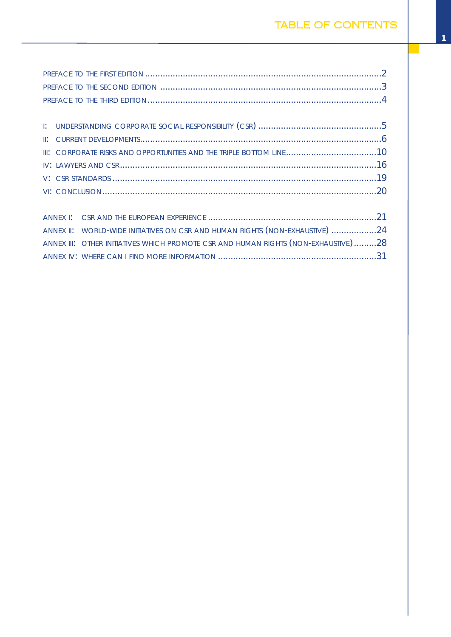|  | III: CORPORATE RISKS AND OPPORTUNITIES AND THE TRIPLE BOTTOM LINE10 |  |  |  |  |
|--|---------------------------------------------------------------------|--|--|--|--|
|  |                                                                     |  |  |  |  |
|  |                                                                     |  |  |  |  |
|  |                                                                     |  |  |  |  |
|  |                                                                     |  |  |  |  |
|  |                                                                     |  |  |  |  |

| ANNEX II: WORLD-WIDE INITIATIVES ON CSR AND HUMAN RIGHTS (NON-EXHAUSTIVE) 24       |  |
|------------------------------------------------------------------------------------|--|
| ANNEX III: OTHER INITIATIVES WHICH PROMOTE CSR AND HUMAN RIGHTS (NON-EXHAUSTIVE)28 |  |
|                                                                                    |  |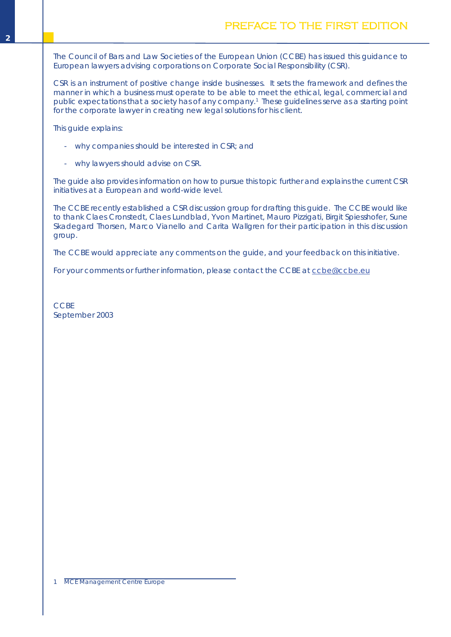<span id="page-3-0"></span>The Council of Bars and Law Societies of the European Union (CCBE) has issued this guidance to European lawyers advising corporations on Corporate Social Responsibility (CSR).

CSR is an instrument of positive change inside businesses. It sets the framework and defines the manner in which a business must operate to be able to meet the ethical, legal, commercial and public expectations that a society has of any company. <sup>1</sup> These guidelines serve as a starting point for the corporate lawyer in creating new legal solutions for his client.

This guide explains:

- why companies should be interested in CSR; and
- why lawyers should advise on CSR.

The guide also provides information on how to pursue this topic further and explains the current CSR initiatives at a European and world-wide level.

The CCBE recently established a CSR discussion group for drafting this guide. The CCBE would like to thank Claes Cronstedt, Claes Lundblad, Yvon Martinet, Mauro Pizzigati, Birgit Spiesshofer, Sune Skadegard Thorsen, Marco Vianello and Carita Wallgren for their participation in this discussion group.

The CCBE would appreciate any comments on the guide, and your feedback on this initiative.

For your comments or further information, please contact the CCBE at [ccbe@ccbe.eu](mailto:ccbe@ccbe.eu)

**CCBE** September 2003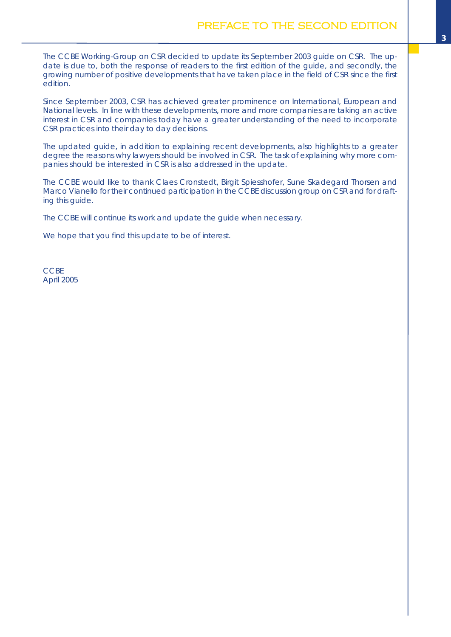<span id="page-4-0"></span>The CCBE Working-Group on CSR decided to update its September 2003 guide on CSR. The update is due to, both the response of readers to the first edition of the guide, and secondly, the growing number of positive developments that have taken place in the field of CSR since the first edition.

Since September 2003, CSR has achieved greater prominence on International, European and National levels. In line with these developments, more and more companies are taking an active interest in CSR and companies today have a greater understanding of the need to incorporate CSR practices into their day to day decisions.

The updated guide, in addition to explaining recent developments, also highlights to a greater degree the reasons why lawyers should be involved in CSR. The task of explaining why more companies should be interested in CSR is also addressed in the update.

The CCBE would like to thank Claes Cronstedt, Birgit Spiesshofer, Sune Skadegard Thorsen and Marco Vianello for their continued participation in the CCBE discussion group on CSR and for drafting this guide.

The CCBE will continue its work and update the guide when necessary.

We hope that you find this update to be of interest.

**CCBE** April 2005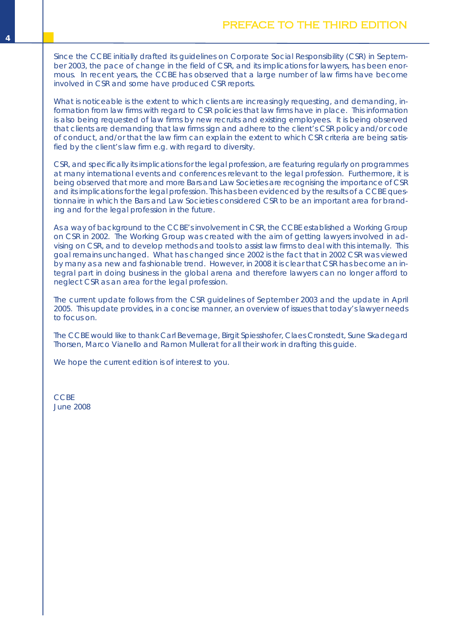<span id="page-5-0"></span>Since the CCBE initially drafted its guidelines on Corporate Social Responsibility (CSR) in September 2003, the pace of change in the field of CSR, and its implications for lawyers, has been enormous. In recent years, the CCBE has observed that a large number of law firms have become involved in CSR and some have produced CSR reports.

What is noticeable is the extent to which clients are increasingly requesting, and demanding, information from law firms with regard to CSR policies that law firms have in place. This information is also being requested of law firms by new recruits and existing employees. It is being observed that clients are demanding that law firms sign and adhere to the client's CSR policy and/or code of conduct, and/or that the law firm can explain the extent to which CSR criteria are being satisfied by the client's law firm e.g. with regard to diversity.

CSR, and specifically its implications for the legal profession, are featuring regularly on programmes at many international events and conferences relevant to the legal profession. Furthermore, it is being observed that more and more Bars and Law Societies are recognising the importance of CSR and its implications for the legal profession. This has been evidenced by the results of a CCBE questionnaire in which the Bars and Law Societies considered CSR to be an important area for branding and for the legal profession in the future.

As a way of background to the CCBE's involvement in CSR, the CCBE established a Working Group on CSR in 2002. The Working Group was created with the aim of getting lawyers involved in advising on CSR, and to develop methods and tools to assist law firms to deal with this internally. This goal remains unchanged. What has changed since 2002 is the fact that in 2002 CSR was viewed by many as a new and fashionable trend. However, in 2008 it is clear that CSR has become an integral part in doing business in the global arena and therefore lawyers can no longer afford to neglect CSR as an area for the legal profession.

The current update follows from the CSR guidelines of September 2003 and the update in April 2005. This update provides, in a concise manner, an overview of issues that today's lawyer needs to focus on.

The CCBE would like to thank Carl Bevernage, Birgit Spiesshofer, Claes Cronstedt, Sune Skadegard Thorsen, Marco Vianello and Ramon Mullerat for all their work in drafting this guide.

We hope the current edition is of interest to you.

**CCBE** June 2008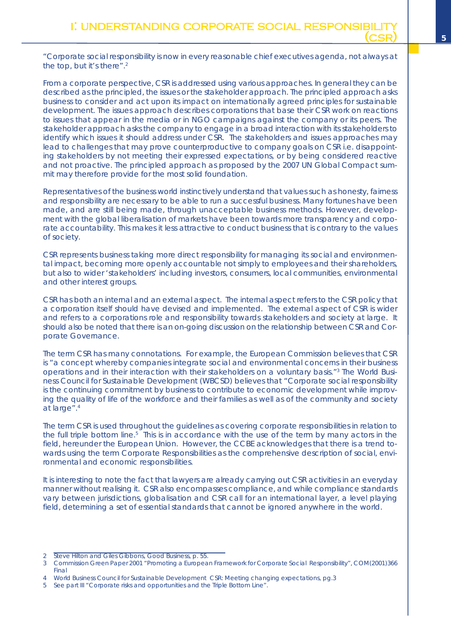<span id="page-6-0"></span>From a corporate perspective, CSR is addressed using various approaches. In general they can be described as the principled, the issues or the stakeholder approach. The principled approach asks business to consider and act upon its impact on internationally agreed principles for sustainable development. The issues approach describes corporations that base their CSR work on reactions to issues that appear in the media or in NGO campaigns against the company or its peers. The stakeholder approach asks the company to engage in a broad interaction with its stakeholders to identify which issues it should address under CSR. The stakeholders and issues approaches may lead to challenges that may prove counterproductive to company goals on CSR i.e. disappointing stakeholders by not meeting their expressed expectations, or by being considered reactive and not proactive. The principled approach as proposed by the 2007 UN Global Compact summit may therefore provide for the most solid foundation.

Representatives of the business world instinctively understand that values such as honesty, fairness and responsibility are necessary to be able to run a successful business. Many fortunes have been made, and are still being made, through unacceptable business methods. However, development with the global liberalisation of markets have been towards more transparency and corporate accountability. This makes it less attractive to conduct business that is contrary to the values of society.

CSR represents business taking more direct responsibility for managing its social and environmental impact, becoming more openly accountable not simply to employees and their shareholders, but also to wider 'stakeholders' including investors, consumers, local communities, environmental and other interest groups.

CSR has both an internal and an external aspect. The internal aspect refers to the CSR policy that a corporation itself should have devised and implemented. The external aspect of CSR is wider and refers to a corporations role and responsibility towards stakeholders and society at large. It should also be noted that there is an on-going discussion on the relationship between CSR and Corporate Governance.

The term CSR has many connotations. For example, the European Commission believes that CSR is "a concept whereby companies integrate social and environmental concerns in their business operations and in their interaction with their stakeholders on a voluntary basis."3 The World Business Council for Sustainable Development (WBCSD) believes that "Corporate social responsibility is the continuing commitment by business to contribute to economic development while improving the quality of life of the workforce and their families as well as of the community and society at large". 4

The term CSR is used throughout the guidelines as covering corporate responsibilities in relation to the full triple bottom line.<sup>5</sup> This is in accordance with the use of the term by many actors in the field, hereunder the European Union. However, the CCBE acknowledges that there is a trend towards using the term Corporate Responsibilities as the comprehensive description of social, environmental and economic responsibilities.

It is interesting to note the fact that lawyers are already carrying out CSR activities in an everyday manner without realising it. CSR also encompasses compliance, and while compliance standards vary between jurisdictions, globalisation and CSR call for an international layer, a level playing field, determining a set of essential standards that cannot be ignored anywhere in the world.

<sup>2</sup> Steve Hilton and Giles Gibbons, Good Business, p. 55.

<sup>3</sup> Commission Green Paper 2001 "Promoting a European Framework for Corporate Social Responsibility", COM(2001)366 Final

<sup>4</sup> World Business Council for Sustainable Development CSR: Meeting changing expectations, pg.3

<sup>5</sup> See part III "Corporate risks and opportunities and the Triple Bottom Line".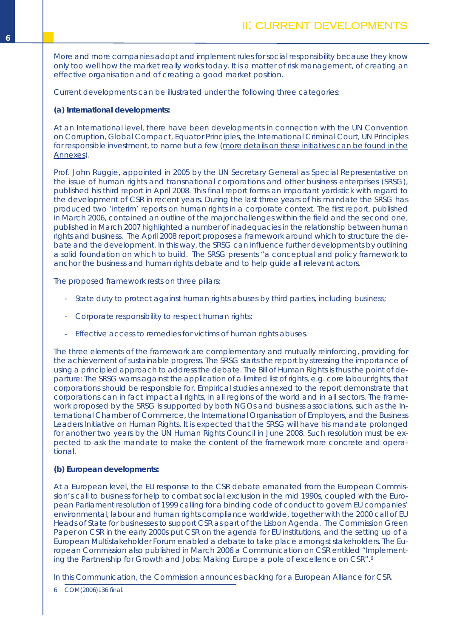<span id="page-7-0"></span>More and more companies adopt and implement rules for social responsibility because they know only too well how the market really works today. It is a matter of risk management, of creating an effective organisation and of creating a good market position.

Current developments can be illustrated under the following three categories:

**(a) International developments:**

At an International level, there have been developments in connection with the UN Convention on Corruption, Global Compact, Equator Principles, the International Criminal Court, UN Principles for responsible investment, to name but a few (more details on these initiatives can be found in the Annexes).

Prof. John Ruggie, appointed in 2005 by the UN Secretary General as Special Representative on the issue of human rights and transnational corporations and other business enterprises (SRSG), published his third report in April 2008. This final report forms an important yardstick with regard to the development of CSR in recent years. During the last three years of his mandate the SRSG has produced two 'interim' reports on human rights in a corporate context. The first report, published in March 2006, contained an outline of the major challenges within the field and the second one, published in March 2007 highlighted a number of inadequacies in the relationship between human rights and business. The April 2008 report proposes a framework around which to structure the debate and the development. In this way, the SRSG can influence further developments by outlining a solid foundation on which to build. The SRSG presents "a conceptual and policy framework to anchor the business and human rights debate and to help guide all relevant actors.

The proposed framework rests on three pillars:

- State duty to protect against human rights abuses by third parties, including business;
- Corporate responsibility to respect human rights;
- Effective access to remedies for victims of human rights abuses.

The three elements of the framework are complementary and mutually reinforcing, providing for the achievement of sustainable progress. The SRSG starts the report by stressing the importance of using a principled approach to address the debate. The Bill of Human Rights is thus the point of departure: The SRSG warns against the application of a limited list of rights, e.g. core labour rights, that corporations should be responsible for. Empirical studies annexed to the report demonstrate that corporations can in fact impact all rights, in all regions of the world and in all sectors. The framework proposed by the SRSG is supported by both NGOs and business associations, such as the International Chamber of Commerce, the International Organisation of Employers, and the Business Leaders Initiative on Human Rights. It is expected that the SRSG will have his mandate prolonged for another two years by the UN Human Rights Council in June 2008. Such resolution must be expected to ask the mandate to make the content of the framework more concrete and operational.

## **(b) European developments:**

At a European level, the EU response to the CSR debate emanated from the European Commission's call to business for help to combat social exclusion in the mid 1990s, coupled with the European Parliament resolution of 1999 calling for a binding code of conduct to govern EU companies' environmental, labour and human rights compliance worldwide, together with the 2000 call of EU Heads of State for businesses to support CSR as part of the Lisbon Agenda. The Commission Green Paper on CSR in the early 2000s put CSR on the agenda for EU institutions, and the setting up of a European Multistakeholder Forum enabled a debate to take place amongst stakeholders. The European Commission also published in March 2006 a Communication on CSR entitled "Implementing the Partnership for Growth and Jobs: Making Europe a pole of excellence on CSR". 6

In this Communication, the Commission announces backing for a European Alliance for CSR.

6 COM(2006)136 final.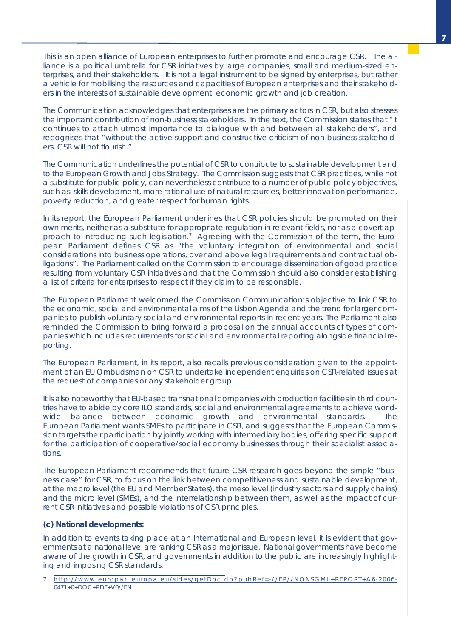This is an open alliance of European enterprises to further promote and encourage CSR. The alliance is a political umbrella for CSR initiatives by large companies, small and medium-sized enterprises, and their stakeholders. It is not a legal instrument to be signed by enterprises, but rather a vehicle for mobilising the resources and capacities of European enterprises and their stakeholders in the interests of sustainable development, economic growth and job creation.

The Communication acknowledges that enterprises are the primary actors in CSR, but also stresses the important contribution of non-business stakeholders. In the text, the Commission states that "it continues to attach utmost importance to dialogue with and between all stakeholders", and recognises that "without the active support and constructive criticism of non-business stakeholders, CSR will not flourish."

The Communication underlines the potential of CSR to contribute to sustainable development and to the European Growth and Jobs Strategy. The Commission suggests that CSR practices, while not a substitute for public policy, can nevertheless contribute to a number of public policy objectives, such as: skills development, more rational use of natural resources, better innovation performance, poverty reduction, and greater respect for human rights.

In its report, the European Parliament underlines that CSR policies should be promoted on their own merits, neither as a substitute for appropriate regulation in relevant fields, nor as a covert approach to introducing such legislation. <sup>7</sup> Agreeing with the Commission of the term, the European Parliament defines CSR as "the voluntary integration of environmental and social considerations into business operations, over and above legal requirements and contractual obligations". The Parliament called on the Commission to encourage dissemination of good practice resulting from voluntary CSR initiatives and that the Commission should also consider establishing a list of criteria for enterprises to respect if they claim to be responsible.

The European Parliament welcomed the Commission Communication's objective to link CSR to the economic, social and environmental aims of the Lisbon Agenda and the trend for larger companies to publish voluntary social and environmental reports in recent years. The Parliament also reminded the Commission to bring forward a proposal on the annual accounts of types of companies which includes requirements for social and environmental reporting alongside financial reporting.

The European Parliament, in its report, also recalls previous consideration given to the appointment of an EU Ombudsman on CSR to undertake independent enquiries on CSR-related issues at the request of companies or any stakeholder group.

It is also noteworthy that EU-based transnational companies with production facilities in third countries have to abide by core ILO standards, social and environmental agreements to achieve worldwide balance between economic growth and environmental standards. The European Parliament wants SMEs to participate in CSR, and suggests that the European Commission targets their participation by jointly working with intermediary bodies, offering specific support for the participation of cooperative/social economy businesses through their specialist associations.

The European Parliament recommends that future CSR research goes beyond the simple "business case" for CSR, to focus on the link between competitiveness and sustainable development, at the macro level (the EU and Member States), the meso level (industry sectors and supply chains) and the micro level (SMEs), and the interrelationship between them, as well as the impact of current CSR initiatives and possible violations of CSR principles.

## **(c) National developments:**

In addition to events taking place at an International and European level, it is evident that governments at a national level are ranking CSR as a major issue. National governments have become aware of the growth in CSR, and governments in addition to the public are increasingly highlighting and imposing CSR standards.

7 http: / /www.europarl.europa.eu/ sides /getDoc.do?pubRef=- / /EP/ [/NONSGML+REPORT+A6-2006-](http://www.europarl.europa.eu/sides/getDoc.do?pubRef=-//EP//NONSGML+REPORT+A6-2006-0471+0+DOC+PDF+V0//EN) [0471+0+DOC+PDF+V0//EN](http://www.europarl.europa.eu/sides/getDoc.do?pubRef=-//EP//NONSGML+REPORT+A6-2006-0471+0+DOC+PDF+V0//EN)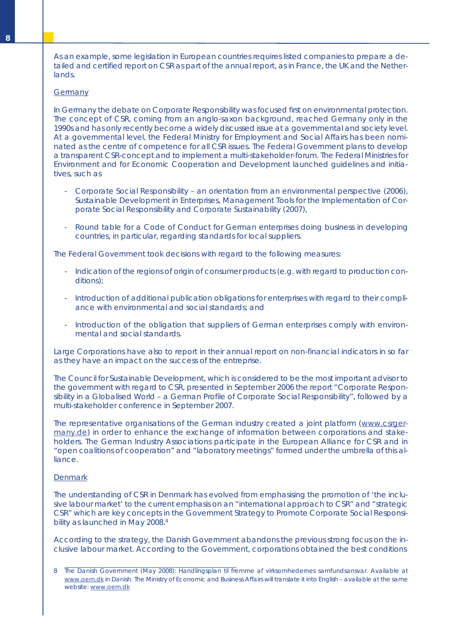As an example, some legislation in European countries requires listed companies to prepare a detailed and certified report on CSR as part of the annual report, as in France, the UK and the Netherlands.

#### **Germany**

In Germany the debate on Corporate Responsibility was focused first on environmental protection. The concept of CSR, coming from an anglo-saxon background, reached Germany only in the 1990s and has only recently become a widely discussed issue at a governmental and society level. At a governmental level, the Federal Ministry for Employment and Social Affairs has been nominated as the centre of competence for all CSR issues. The Federal Government plans to develop a transparent CSR-concept and to implement a multi-stakeholder-forum. The Federal Ministries for Environment and for Economic Cooperation and Development launched guidelines and initiatives, such as

- Corporate Social Responsibility an orientation from an environmental perspective (2006), Sustainable Development in Enterprises, Management Tools for the Implementation of Corporate Social Responsibility and Corporate Sustainability (2007),
- Round table for a Code of Conduct for German enterprises doing business in developing countries, in particular, regarding standards for local suppliers.

The Federal Government took decisions with regard to the following measures:

- Indication of the regions of origin of consumer products (e.g. with regard to production conditions);
- Introduction of additional publication obligations for enterprises with regard to their compliance with environmental and social standards; and
- Introduction of the obligation that suppliers of German enterprises comply with environmental and social standards.

Large Corporations have also to report in their annual report on non-financial indicators in so far as they have an impact on the success of the entreprise.

The Council for Sustainable Development, which is considered to be the most important advisor to the government with regard to CSR, presented in September 2006 the report "Corporate Responsibility in a Globalised World – a German Profile of Corporate Social Responsibility", followed by a multi-stakeholder conference in September 2007.

The representative organisations of the German industry created a joint platform [\(www.csrger](www.csrgermany.de)[many.de\)](www.csrgermany.de) in order to enhance the exchange of information between corporations and stakeholders. The German Industry Associations participate in the European Alliance for CSR and in "open coalitions of cooperation" and "laboratory meetings" formed under the umbrella of this alliance.

#### **Denmark**

The understanding of CSR in Denmark has evolved from emphasising the promotion of 'the inclusive labour market' to the current emphasis on an "international approach to CSR" and "strategic CSR" which are key concepts in the Government Strategy to Promote Corporate Social Responsibility as launched in May 2008.<sup>8</sup>

According to the strategy, the Danish Government abandons the previous strong focus on the inclusive labour market. According to the Government, corporations obtained the best conditions

<sup>8</sup> The Danish Government (May 2008): Handlingsplan til fremme af virksomhedernes samfundsansvar. Available at <www.oem.dk> in Danish. The Ministry of Economic and Business Affairs will translate it into English – available at the same website: <www.oem.dk>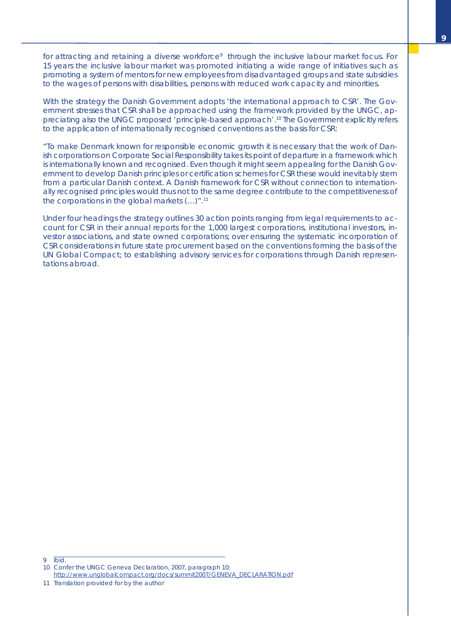for attracting and retaining a diverse workforce<sup>9</sup> through the inclusive labour market focus. For 15 years the inclusive labour market was promoted initiating a wide range of initiatives such as promoting a system of mentors for new employees from disadvantaged groups and state subsidies to the wages of persons with disabilities, persons with reduced work capacity and minorities.

With the strategy the Danish Government adopts 'the international approach to CSR'. The Government stresses that CSR shall be approached using the framework provided by the UNGC, appreciating also the UNGC proposed 'principle-based approach'. <sup>10</sup> The Government explicitly refers to the application of internationally recognised conventions as the basis for CSR:

"To make Denmark known for responsible economic growth it is necessary that the work of Danish corporations on Corporate Social Responsibility takes its point of departure in a framework which is internationally known and recognised. Even though it might seem appealing for the Danish Government to develop Danish principles or certification schemes for CSR these would inevitably stem from a particular Danish context. A Danish framework for CSR without connection to internationally recognised principles would thus not to the same degree contribute to the competitiveness of the corporations in the global markets (…)". 11

Under four headings the strategy outlines 30 action points ranging from legal requirements to account for CSR in their annual reports for the 1,000 largest corporations, institutional investors, investor associations, and state owned corporations; over ensuring the systematic incorporation of CSR considerations in future state procurement based on the conventions forming the basis of the UN Global Compact; to establishing advisory services for corporations through Danish representations abroad.

<sup>9</sup> Ibid. 10 Confer the UNGC Geneva Declaration, 2007, paragraph 10:

[http://www.unglobalcompact.org/docs/summit2007/GENEVA\\_DECLARATION.pdf](http://www.unglobalcompact.org/docs/summit2007/GENEVA_DECLARATION.pdf)

<sup>11</sup> Translation provided for by the author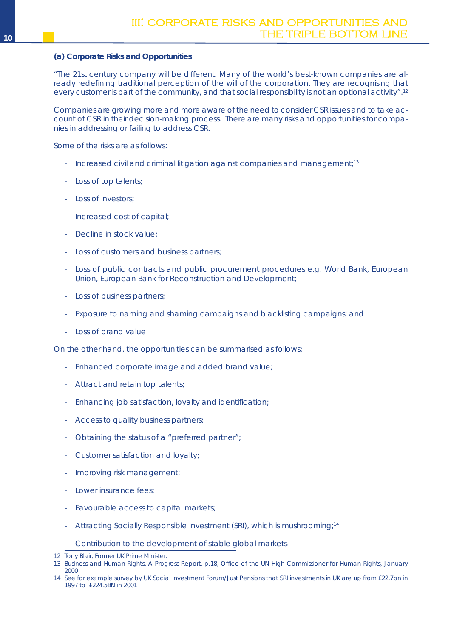## <span id="page-11-0"></span>**(a) Corporate Risks and Opportunities**

*"The 21st century company will be different. Many of the world's best-known companies are already redefining traditional perception of the will of the corporation. They are recognising that every customer is part of the community, and that social responsibility is not an optional activity".* 12

Companies are growing more and more aware of the need to consider CSR issues and to take account of CSR in their decision-making process. There are many risks and opportunities for companies in addressing or failing to address CSR.

Some of the risks are as follows:

- Increased civil and criminal litigation against companies and management;<sup>13</sup>
- Loss of top talents;
- Loss of investors;
- Increased cost of capital;
- Decline in stock value;
- Loss of customers and business partners;
- Loss of public contracts and public procurement procedures e.g. World Bank, European Union, European Bank for Reconstruction and Development;
- Loss of business partners;
- Exposure to naming and shaming campaigns and blacklisting campaigns; and
- Loss of brand value.

On the other hand, the opportunities can be summarised as follows:

- Enhanced corporate image and added brand value;
- Attract and retain top talents;
- Enhancing job satisfaction, loyalty and identification;
- Access to quality business partners;
- Obtaining the status of a "preferred partner";
- Customer satisfaction and loyalty;
- Improving risk management;
- Lower insurance fees;
- Favourable access to capital markets;
- Attracting Socially Responsible Investment (SRI), which is mushrooming;<sup>14</sup>

- Contribution to the development of stable global markets

<sup>12</sup> Tony Blair, Former UK Prime Minister.

<sup>13</sup> Business and Human Rights, A Progress Report, p.18, Office of the UN High Commissioner for Human Rights, January 2000

<sup>14</sup> See for example survey by UK Social Investment Forum/Just Pensions that SRI investments in UK are up from £22.7bn in 1997 to £224.5BN in 2001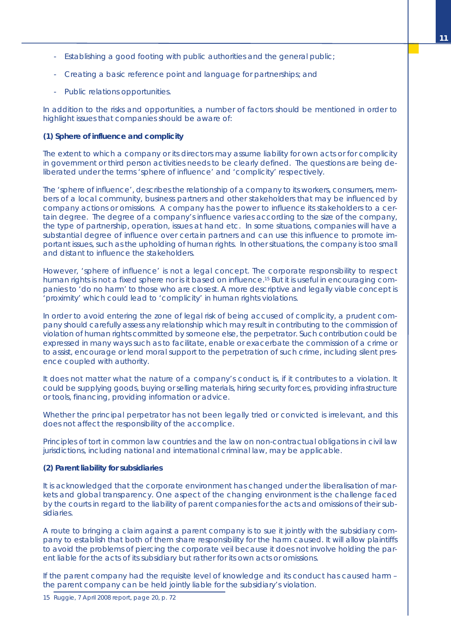- Establishing a good footing with public authorities and the general public;
- Creating a basic reference point and language for partnerships; and
- Public relations opportunities.

In addition to the risks and opportunities, a number of factors should be mentioned in order to highlight issues that companies should be aware of:

## *(1) Sphere of influence and complicity*

The extent to which a company or its directors may assume liability for own acts or for complicity in government or third person activities needs to be clearly defined. The questions are being deliberated under the terms 'sphere of influence' and 'complicity' respectively.

The 'sphere of influence', describes the relationship of a company to its workers, consumers, members of a local community, business partners and other stakeholders that may be influenced by company actions or omissions. A company has the power to influence its stakeholders to a certain degree. The degree of a company's influence varies according to the size of the company, the type of partnership, operation, issues at hand etc. In some situations, companies will have a substantial degree of influence over certain partners and can use this influence to promote important issues, such as the upholding of human rights. In other situations, the company is too small and distant to influence the stakeholders.

However, 'sphere of influence' is not a legal concept. The corporate responsibility to respect human rights is not a fixed sphere nor is it based on influence. <sup>15</sup> But it is useful in encouraging companies to 'do no harm' to those who are closest. A more descriptive and legally viable concept is 'proximity' which could lead to 'complicity' in human rights violations.

In order to avoid entering the zone of legal risk of being accused of complicity, a prudent company should carefully assess any relationship which may result in contributing to the commission of violation of human rights committed by someone else, the perpetrator. Such contribution could be expressed in many ways such as to facilitate, enable or exacerbate the commission of a crime or to assist, encourage or lend moral support to the perpetration of such crime, including silent presence coupled with authority.

It does not matter what the nature of a company's conduct is, if it contributes to a violation. It could be supplying goods, buying or selling materials, hiring security forces, providing infrastructure or tools, financing, providing information or advice.

Whether the principal perpetrator has not been legally tried or convicted is irrelevant, and this does not affect the responsibility of the accomplice.

Principles of tort in common law countries and the law on non-contractual obligations in civil law jurisdictions, including national and international criminal law, may be applicable.

## *(2) Parent liability for subsidiaries*

It is acknowledged that the corporate environment has changed under the liberalisation of markets and global transparency. One aspect of the changing environment is the challenge faced by the courts in regard to the liability of parent companies for the acts and omissions of their subsidiaries.

A route to bringing a claim against a parent company is to sue it jointly with the subsidiary company to establish that both of them share responsibility for the harm caused. It will allow plaintiffs to avoid the problems of piercing the corporate veil because it does not involve holding the parent liable for the acts of its subsidiary but rather for its own acts or omissions.

If the parent company had the requisite level of knowledge and its conduct has caused harm – the parent company can be held jointly liable for the subsidiary's violation.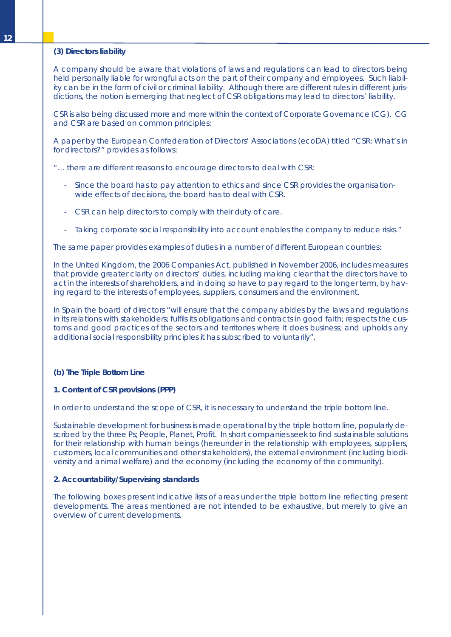### *(3) Directors liability*

A company should be aware that violations of laws and regulations can lead to directors being held personally liable for wrongful acts on the part of their company and employees. Such liability can be in the form of civil or criminal liability. Although there are different rules in different jurisdictions, the notion is emerging that neglect of CSR obligations may lead to directors' liability.

CSR is also being discussed more and more within the context of Corporate Governance (CG). *CG and CSR are based on common principles*:

A paper by the European Confederation of Directors' Associations (ecoDA) titled "CSR: What's in for directors?" provides as follows:

"… there are different reasons to encourage directors to deal with CSR:

- Since the board has to pay attention to ethics and since CSR provides the organisationwide effects of decisions, the board has to deal with CSR.
- CSR can help directors to comply with their duty of care.
- Taking corporate social responsibility into account enables the company to reduce risks."

The same paper provides examples of duties in a number of different European countries:

In the United Kingdom, the 2006 Companies Act, published in November 2006, includes measures that provide greater clarity on directors' duties, including making clear that the directors have to act in the interests of shareholders, and in doing so have to pay regard to the longer term, by having regard to the interests of employees, suppliers, consumers and the environment.

In Spain the board of directors "will ensure that the company abides by the laws and regulations in its relations with stakeholders; fulfils its obligations and contracts in good faith; respects the customs and good practices of the sectors and territories where it does business; and upholds any additional social responsibility principles it has subscribed to voluntarily".

## **(b) The Triple Bottom Line**

#### *1. Content of CSR provisions (PPP)*

In order to understand the scope of CSR, it is necessary to understand the triple bottom line.

Sustainable development for business is made operational by the triple bottom line, popularly described by the three Ps; People, Planet, Profit. In short companies seek to find sustainable solutions for their relationship with human beings (hereunder in the relationship with employees, suppliers, customers, local communities and other stakeholders), the external environment (including biodiversity and animal welfare) and the economy (including the economy of the community).

#### *2. Accountability/Supervising standards*

The following boxes present indicative lists of areas under the triple bottom line reflecting present developments. The areas mentioned are not intended to be exhaustive, but merely to give an overview of current developments.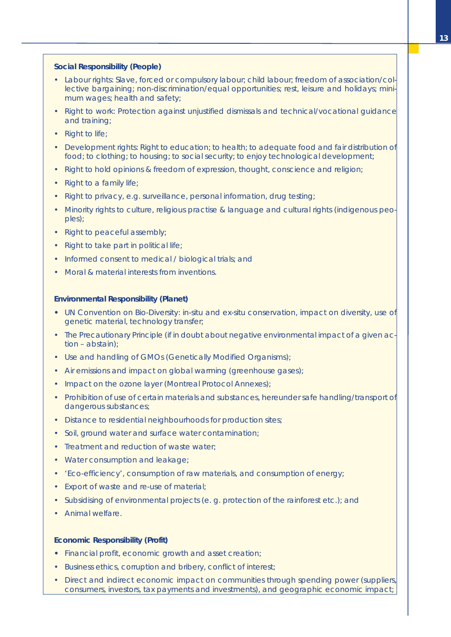### **Social Responsibility (People)**

- Labour rights: Slave, forced or compulsory labour; child labour; freedom of association/collective bargaining; non-discrimination/equal opportunities; rest, leisure and holidays; minimum wages; health and safety;
- Right to work: Protection against unjustified dismissals and technical/vocational guidance and training;
- Right to life;
- Development rights: Right to education; to health; to adequate food and fair distribution of food; to clothing; to housing; to social security; to enjoy technological development;
- Right to hold opinions & freedom of expression, thought, conscience and religion;
- Right to a family life:
- Right to privacy, e.g. surveillance, personal information, drug testing;
- Minority rights to culture, religious practise & language and cultural rights (indigenous peoples);
- Right to peaceful assembly;
- Right to take part in political life;
- Informed consent to medical / biological trials: and
- Moral & material interests from inventions.

#### **Environmental Responsibility (Planet)**

- **•** UN Convention on Bio-Diversity: in-situ and ex-situ conservation, impact on diversity, use of genetic material, technology transfer;
- The Precautionary Principle (if in doubt about negative environmental impact of a given action – abstain);
- Use and handling of GMOs (Genetically Modified Organisms);
- Air emissions and impact on global warming (greenhouse gases);
- Impact on the ozone layer (Montreal Protocol Annexes);
- Prohibition of use of certain materials and substances, hereunder safe handling/transport of dangerous substances;
- Distance to residential neighbourhoods for production sites;
- Soil, ground water and surface water contamination;
- Treatment and reduction of waste water;
- Water consumption and leakage;
- 'Eco-efficiency', consumption of raw materials, and consumption of energy;
- Export of waste and re-use of material;
- Subsidising of environmental projects (e. g. protection of the rainforest etc.); and
- Animal welfare.

## **Economic Responsibility (Profit)**

- **•** Financial profit, economic growth and asset creation;
- Business ethics, corruption and bribery, conflict of interest;
- Direct and indirect economic impact on communities through spending power (suppliers, consumers, investors, tax payments and investments), and geographic economic impact;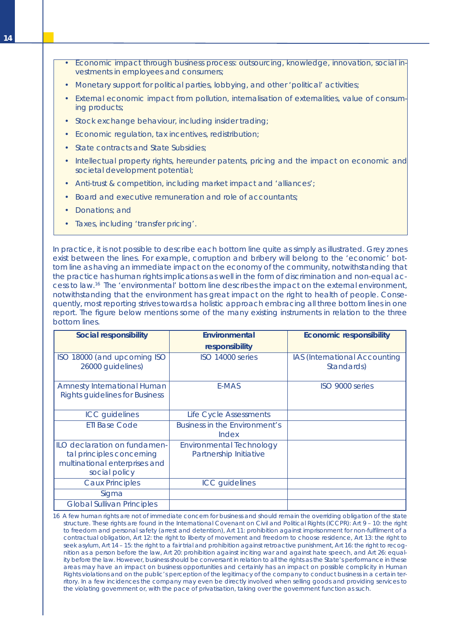- Economic impact through business process: outsourcing, knowledge, innovation, social investments in employees and consumers;
- Monetary support for political parties, lobbying, and other 'political' activities;
- External economic impact from pollution, internalisation of externalities, value of consuming products;
- Stock exchange behaviour, including insider trading;
- Economic regulation, tax incentives, redistribution;
- State contracts and State Subsidies;
- Intellectual property rights, hereunder patents, pricing and the impact on economic and societal development potential;
- Anti-trust & competition, including market impact and 'alliances';
- Board and executive remuneration and role of accountants;
- Donations; and
- Taxes, including 'transfer pricing'.

In practice, it is not possible to describe each bottom line quite as simply as illustrated. Grey zones exist between the lines. For example, corruption and bribery will belong to the 'economic' bottom line as having an immediate impact on the economy of the community, notwithstanding that the practice has human rights implications as well in the form of discrimination and non-equal access to law. <sup>16</sup> The 'environmental' bottom line describes the impact on the external environment, notwithstanding that the environment has great impact on the right to health of people. Consequently, most reporting strives towards a holistic approach embracing all three bottom lines in one report. The figure below mentions some of the many existing instruments in relation to the three bottom lines.

| Social responsibility                                                                                       | Environmental                                             | Economic responsibility                     |
|-------------------------------------------------------------------------------------------------------------|-----------------------------------------------------------|---------------------------------------------|
|                                                                                                             | responsibility                                            |                                             |
| ISO 18000 (and upcoming ISO<br>26000 guidelines)                                                            | ISO 14000 series                                          | IAS (International Accounting<br>Standards) |
| <b>Amnesty International Human</b><br><b>Rights guidelines for Business</b>                                 | E-MAS                                                     | ISO 9000 series                             |
| <b>ICC</b> guidelines                                                                                       | Life Cycle Assessments                                    |                                             |
| <b>ETI Base Code</b>                                                                                        | Business in the Environment's<br>Index                    |                                             |
| ILO declaration on fundamen-<br>tal principles concerning<br>multinational enterprises and<br>social policy | <b>Environmental Technology</b><br>Partnership Initiative |                                             |
| <b>Caux Principles</b>                                                                                      | <b>ICC</b> guidelines                                     |                                             |
| Sigma                                                                                                       |                                                           |                                             |
| <b>Global Sullivan Principles</b>                                                                           |                                                           |                                             |

16 A few human rights are not of immediate concern for business and should remain the overriding obligation of the state structure. These rights are found in the International Covenant on Civil and Political Rights (ICCPR): Art 9 – 10: the right to freedom and personal safety (arrest and detention), Art 11: prohibition against imprisonment for non-fulfilment of a contractual obligation, Art 12: the right to liberty of movement and freedom to choose residence, Art 13: the right to seek asylum, Art 14 – 15: the right to a fair trial and prohibition against retroactive punishment, Art 16: the right to recognition as a person before the law, Art 20: prohibition against inciting war and against hate speech, and Art 26: equality before the law. However, business should be conversant in relation to all the rights as the State's performance in these areas may have an impact on business opportunities and certainly has an impact on possible complicity in Human Rights violations and on the public's perception of the legitimacy of the company to conduct business in a certain territory. In a few incidences the company may even be directly involved when selling goods and providing services to the violating government or, with the pace of privatisation, taking over the government function as such.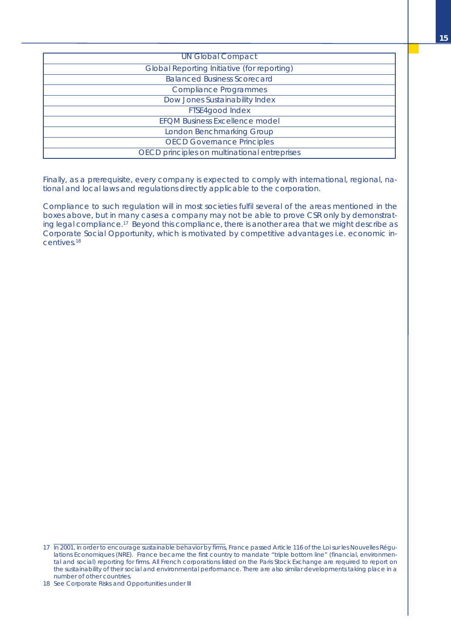| <b>UN Global Compact</b>                           |
|----------------------------------------------------|
| <b>Global Reporting Initiative (for reporting)</b> |
| <b>Balanced Business Scorecard</b>                 |
| <b>Compliance Programmes</b>                       |
| Dow Jones Sustainability Index                     |
| FTSE4good Index                                    |
| <b>EFOM Business Excellence model</b>              |
| <b>London Benchmarking Group</b>                   |
| <b>OECD Governance Principles</b>                  |
| OECD principles on multinational entreprises       |

Finally, as a prerequisite, every company is expected to comply with international, regional, national and local laws and regulations directly applicable to the corporation.

Compliance to such regulation will in most societies fulfil several of the areas mentioned in the boxes above, but in many cases a company may not be able to prove CSR only by demonstrating legal compliance.<sup>17</sup> Beyond this compliance, there is another area that we might describe as Corporate Social Opportunity, which is motivated by competitive advantages i.e. economic incentives. 18

<sup>17</sup> In 2001, in order to encourage sustainable behavior by firms, France passed Article 116 of the Loi sur les Nouvelles Régulations Economiques (NRE). France became the first country to mandate "triple bottom line" (financial, environmental and social) reporting for firms. All French corporations listed on the Paris Stock Exchange are required to report on the sustainability of their social and environmental performance. There are also similar developments taking place in a number of other countries.

<sup>18</sup> See Corporate Risks and Opportunities under III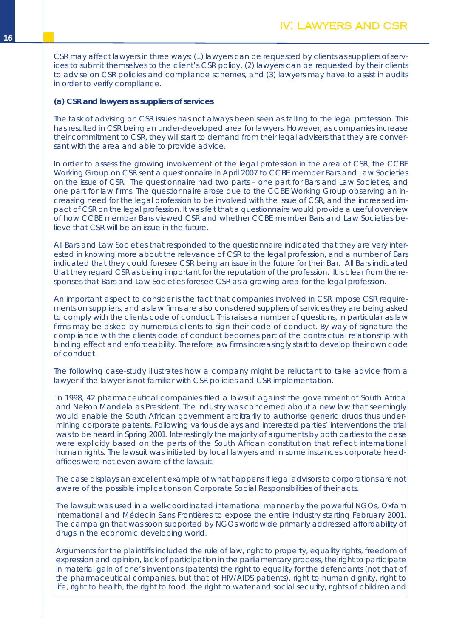<span id="page-17-0"></span>CSR may affect lawyers in three ways: (1) lawyers can be requested by clients as suppliers of services to submit themselves to the client's CSR policy, (2) lawyers can be requested by their clients to advise on CSR policies and compliance schemes, and (3) lawyers may have to assist in audits in order to verify compliance.

#### **(a) CSR and lawyers as suppliers of services**

The task of advising on CSR issues has not always been seen as falling to the legal profession. This has resulted in CSR being an under-developed area for lawyers. However, as companies increase their commitment to CSR, they will start to demand from their legal advisers that they are conversant with the area and able to provide advice.

In order to assess the growing involvement of the legal profession in the area of CSR, the CCBE Working Group on CSR sent a questionnaire in April 2007 to CCBE member Bars and Law Societies on the issue of CSR. The questionnaire had two parts – one part for Bars and Law Societies, and one part for law firms. The questionnaire arose due to the CCBE Working Group observing an increasing need for the legal profession to be involved with the issue of CSR, and the increased impact of CSR on the legal profession. It was felt that a questionnaire would provide a useful overview of how CCBE member Bars viewed CSR and whether CCBE member Bars and Law Societies believe that CSR will be an issue in the future.

All Bars and Law Societies that responded to the questionnaire indicated that they are very interested in knowing more about the relevance of CSR to the legal profession, and a number of Bars indicated that they could foresee CSR being an issue in the future for their Bar. All Bars indicated that they regard CSR as being important for the reputation of the profession. It is clear from the responses that Bars and Law Societies foresee CSR as a growing area for the legal profession.

An important aspect to consider is the fact that companies involved in CSR impose CSR requirements on suppliers, and as law firms are also considered suppliers of services they are being asked to comply with the clients code of conduct. This raises a number of questions, in particular as law firms may be asked by numerous clients to sign their code of conduct. By way of signature the compliance with the clients code of conduct becomes part of the contractual relationship with binding effect and enforceability. Therefore law firms increasingly start to develop their own code of conduct.

The following case-study illustrates how a company might be reluctant to take advice from a lawyer if the lawyer is not familiar with CSR policies and CSR implementation.

In 1998, 42 pharmaceutical companies filed a lawsuit against the government of South Africa and Nelson Mandela as President. The industry was concerned about a new law that seemingly would enable the South African government arbitrarily to authorise generic drugs thus undermining corporate patents. Following various delays and interested parties' interventions the trial was to be heard in Spring 2001. Interestingly the majority of arguments by both parties to the case were explicitly based on the parts of the South African constitution that reflect international human rights. The lawsuit was initiated by local lawyers and in some instances corporate headoffices were not even aware of the lawsuit.

The case displays an excellent example of what happens if legal advisors to corporations are not aware of the possible implications on Corporate Social Responsibilities of their acts.

The lawsuit was used in a well-coordinated international manner by the powerful NGOs, Oxfam International and Médecin Sans Frontières to expose the entire industry starting February 2001. The campaign that was soon supported by NGOs worldwide primarily addressed affordability of drugs in the economic developing world.

Arguments for the plaintiffs included the rule of law, right to property, equality rights, freedom of expression and opinion, lack of participation in the parliamentary process, the right to participate in material gain of one's inventions (patents) the right to equality for the defendants (not that of the pharmaceutical companies, but that of HIV/AIDS patients), right to human dignity, right to life, right to health, the right to food, the right to water and social security, rights of children and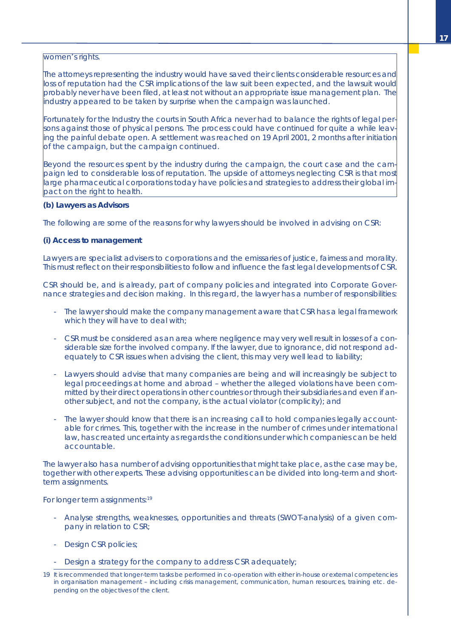## women's rights.

The attorneys representing the industry would have saved their clients considerable resources and loss of reputation had the CSR implications of the law suit been expected, and the lawsuit would probably never have been filed, at least not without an appropriate issue management plan. The industry appeared to be taken by surprise when the campaign was launched.

Fortunately for the Industry the courts in South Africa never had to balance the rights of legal persons against those of physical persons. The process could have continued for quite a while leaving the painful debate open. A settlement was reached on 19 April 2001, 2 months after initiation of the campaign, but the campaign continued.

Beyond the resources spent by the industry during the campaign, the court case and the campaign led to considerable loss of reputation. The upside of attorneys neglecting CSR is that most large pharmaceutical corporations today have policies and strategies to address their global impact on the right to health.

#### **(b) Lawyers as Advisors**

The following are some of the reasons for why lawyers should be involved in advising on CSR:

## *(i) Access to management*

Lawyers are specialist advisers to corporations and the emissaries of justice, fairness and morality. This must reflect on their responsibilities to follow and influence the fast legal developments of CSR.

CSR should be, and is already, part of company policies and integrated into Corporate Governance strategies and decision making. In this regard, the lawyer has a number of responsibilities:

- The lawyer should make the company management aware that CSR has a legal framework which they will have to deal with:
- CSR must be considered as an area where negligence may very well result in losses of a considerable size for the involved company. If the lawyer, due to ignorance, did not respond adequately to CSR issues when advising the client, this may very well lead to liability;
- Lawyers should advise that many companies are being and will increasingly be subject to legal proceedings at home and abroad – whether the alleged violations have been committed by their direct operations in other countries or through their subsidiaries and even if another subject, and not the company, is the actual violator (complicity); and
- The lawyer should know that there is an increasing call to hold companies legally accountable for crimes. This, together with the increase in the number of crimes under international law, has created uncertainty as regards the conditions under which companies can be held accountable.

The lawyer also has a number of advising opportunities that might take place, as the case may be, together with other experts. These advising opportunities can be divided into long-term and shortterm assignments.

For longer term assignments:<sup>19</sup>

- Analyse strengths, weaknesses, opportunities and threats (SWOT-analysis) of a given company in relation to CSR;
- Design CSR policies;
- Design a strategy for the company to address CSR adequately;
- 19 It is recommended that longer-term tasks be performed in co-operation with either in-house or external competencies in organisation management – including crisis management, communication, human resources, training etc. depending on the objectives of the client.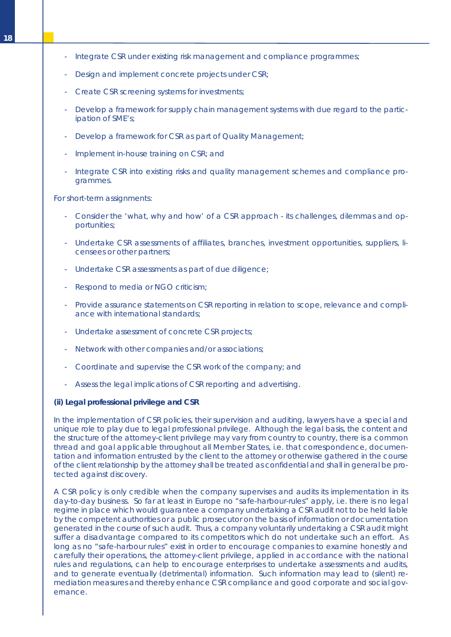- Integrate CSR under existing risk management and compliance programmes;
- Design and implement concrete projects under CSR;
- Create CSR screening systems for investments;
- Develop a framework for supply chain management systems with due regard to the participation of SME's;
- Develop a framework for CSR as part of Quality Management;
- Implement in-house training on CSR; and
- Integrate CSR into existing risks and quality management schemes and compliance programmes.

For short-term assignments:

- Consider the 'what, why and how' of a CSR approach its challenges, dilemmas and opportunities;
- Undertake CSR assessments of affiliates, branches, investment opportunities, suppliers, licensees or other partners;
- Undertake CSR assessments as part of due diligence;
- Respond to media or NGO criticism;
- Provide assurance statements on CSR reporting in relation to scope, relevance and compliance with international standards;
- Undertake assessment of concrete CSR projects;
- Network with other companies and/or associations;
- Coordinate and supervise the CSR work of the company; and
- Assess the legal implications of CSR reporting and advertising.

#### *(ii) Legal professional privilege and CSR*

In the implementation of CSR policies, their supervision and auditing, lawyers have a special and unique role to play due to legal professional privilege. Although the legal basis, the content and the structure of the attorney-client privilege may vary from country to country, there is a common thread and goal applicable throughout all Member States, i.e. that correspondence, documentation and information entrusted by the client to the attorney or otherwise gathered in the course of the client relationship by the attorney shall be treated as confidential and shall in general be protected against discovery.

A CSR policy is only credible when the company supervises and audits its implementation in its day-to-day business. So far at least in Europe no "safe-harbour-rules" apply, i.e. there is no legal regime in place which would guarantee a company undertaking a CSR audit not to be held liable by the competent authorities or a public prosecutor on the basis of information or documentation generated in the course of such audit. Thus, a company voluntarily undertaking a CSR audit might suffer a disadvantage compared to its competitors which do not undertake such an effort. As long as no "safe-harbour rules" exist in order to encourage companies to examine honestly and carefully their operations, the attorney-client privilege, applied in accordance with the national rules and regulations, can help to encourage enterprises to undertake assessments and audits, and to generate eventually (detrimental) information. Such information may lead to (silent) remediation measures and thereby enhance CSR compliance and good corporate and social governance.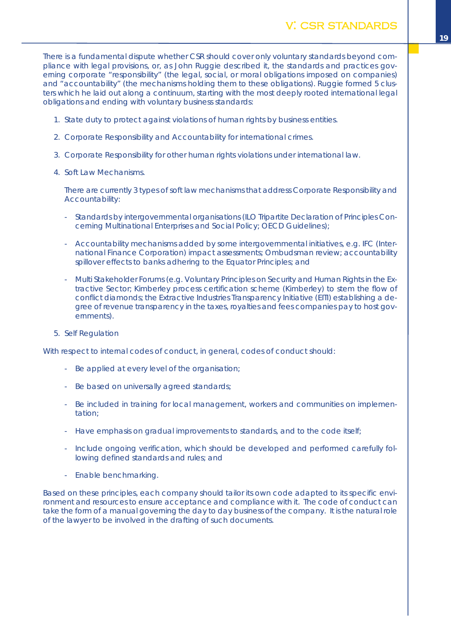<span id="page-20-0"></span>There is a fundamental dispute whether CSR should cover only voluntary standards beyond compliance with legal provisions, or, as John Ruggie described it, the standards and practices governing corporate "responsibility" (the legal, social, or moral obligations imposed on companies) and "accountability" (the mechanisms holding them to these obligations). Ruggie formed 5 clusters which he laid out along a continuum, starting with the most deeply rooted international legal obligations and ending with voluntary business standards:

- 1. State duty to protect against violations of human rights by business entities.
- 2. Corporate Responsibility and Accountability for international crimes.
- 3. Corporate Responsibility for other human rights violations under international law.
- 4. Soft Law Mechanisms.

There are currently 3 types of soft law mechanisms that address Corporate Responsibility and Accountability:

- Standards by intergovernmental organisations (ILO Tripartite Declaration of Principles Concerning Multinational Enterprises and Social Policy; OECD Guidelines);
- Accountability mechanisms added by some intergovernmental initiatives, e.g. IFC (International Finance Corporation) impact assessments; Ombudsman review; accountability spillover effects to banks adhering to the Equator Principles; and
- Multi Stakeholder Forums (e.g. Voluntary Principles on Security and Human Rights in the Extractive Sector; Kimberley process certification scheme (Kimberley) to stem the flow of conflict diamonds; the Extractive Industries Transparency Initiative (EITI) establishing a degree of revenue transparency in the taxes, royalties and fees companies pay to host governments).
- 5. Self Regulation

With respect to internal codes of conduct, in general, codes of conduct should:

- Be applied at every level of the organisation;
- Be based on universally agreed standards;
- Be included in training for local management, workers and communities on implementation;
- Have emphasis on gradual improvements to standards, and to the code itself;
- Include ongoing verification, which should be developed and performed carefully following defined standards and rules; and
- Enable benchmarking.

Based on these principles, each company should tailor its own code adapted to its specific environment and resources to ensure acceptance and compliance with it. The code of conduct can take the form of a manual governing the day to day business of the company. It is the natural role of the lawyer to be involved in the drafting of such documents.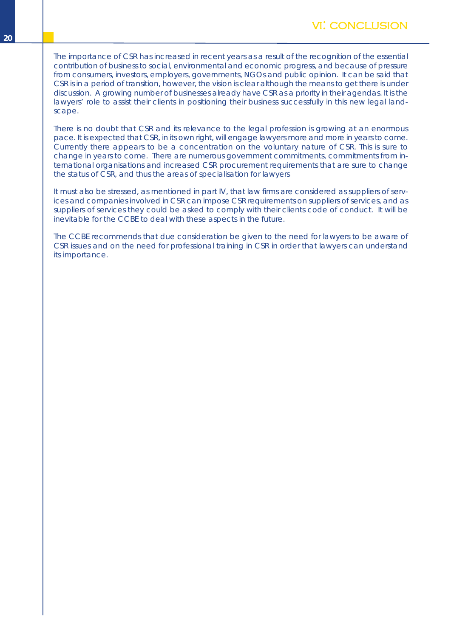<span id="page-21-0"></span>The importance of CSR has increased in recent years as a result of the recognition of the essential contribution of business to social, environmental and economic progress, and because of pressure from consumers, investors, employers, governments, NGOs and public opinion. It can be said that CSR is in a period of transition, however, the vision is clear although the means to get there is under discussion. A growing number of businesses already have CSR as a priority in their agendas. It is the lawyers' role to assist their clients in positioning their business successfully in this new legal landscape.

There is no doubt that CSR and its relevance to the legal profession is growing at an enormous pace. It is expected that CSR, in its own right, will engage lawyers more and more in years to come. Currently there appears to be a concentration on the voluntary nature of CSR. This is sure to change in years to come. There are numerous government commitments, commitments from international organisations and increased CSR procurement requirements that are sure to change the status of CSR, and thus the areas of specialisation for lawyers

It must also be stressed, as mentioned in part IV, that law firms are considered as suppliers of services and companies involved in CSR can impose CSR requirements on suppliers of services, and as suppliers of services they could be asked to comply with their clients code of conduct. It will be inevitable for the CCBE to deal with these aspects in the future.

The CCBE recommends that due consideration be given to the need for lawyers to be aware of CSR issues and on the need for professional training in CSR in order that lawyers can understand its importance.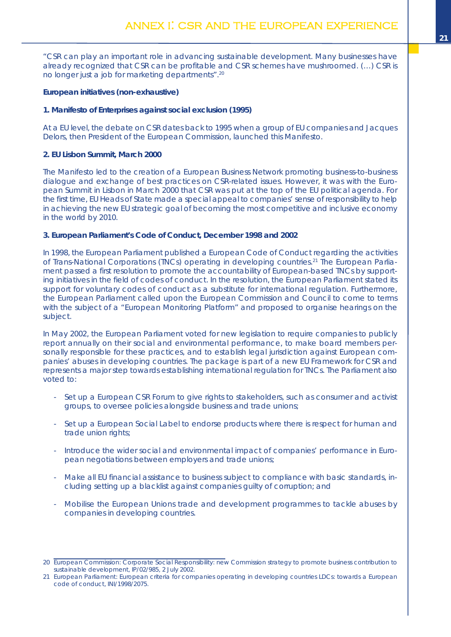<span id="page-22-0"></span>*"CSR can play an important role in advancing sustainable development. Many businesses have already recognized that CSR can be profitable and CSR schemes have mushroomed. (…) CSR is no longer just a job for marketing departments".* 20

**European initiatives (non-exhaustive)**

## *1. Manifesto of Enterprises against social exclusion (1995)*

At a EU level, the debate on CSR dates back to 1995 when a group of EU companies and Jacques Delors, then President of the European Commission, launched this Manifesto.

## *2. EU Lisbon Summit, March 2000*

The Manifesto led to the creation of a European Business Network promoting business-to-business dialogue and exchange of best practices on CSR-related issues. However, it was with the European Summit in Lisbon in March 2000 that CSR was put at the top of the EU political agenda. For the first time, EU Heads of State made a special appeal to companies' sense of responsibility to help in achieving the new EU strategic goal of becoming the most competitive and inclusive economy in the world by 2010.

## *3. European Parliament's Code of Conduct, December 1998 and 2002*

In 1998, the European Parliament published a European Code of Conduct regarding the activities of Trans-National Corporations (TNCs) operating in developing countries. <sup>21</sup> The European Parliament passed a first resolution to promote the accountability of European-based TNCs by supporting initiatives in the field of codes of conduct. In the resolution, the European Parliament stated its support for voluntary codes of conduct as a substitute for international regulation. Furthermore, the European Parliament called upon the European Commission and Council to come to terms with the subject of a "European Monitoring Platform" and proposed to organise hearings on the subject.

In May 2002, the European Parliament voted for new legislation to require companies to publicly report annually on their social and environmental performance, to make board members personally responsible for these practices, and to establish legal jurisdiction against European companies' abuses in developing countries. The package is part of a new EU Framework for CSR and represents a major step towards establishing international regulation for TNCs. The Parliament also voted to:

- Set up a European CSR Forum to give rights to stakeholders, such as consumer and activist groups, to oversee policies alongside business and trade unions;
- Set up a European Social Label to endorse products where there is respect for human and trade union rights;
- Introduce the wider social and environmental impact of companies' performance in European negotiations between employers and trade unions;
- Make all EU financial assistance to business subject to compliance with basic standards, including setting up a blacklist against companies guilty of corruption; and
- Mobilise the European Unions trade and development programmes to tackle abuses by companies in developing countries.

<sup>20</sup> European Commission: Corporate Social Responsibility: new Commission strategy to promote business contribution to sustainable development, IP/02/985, 2 July 2002.

<sup>21</sup> European Parliament: European criteria for companies operating in developing countries LDCs: towards a European code of conduct, INI/1998/2075.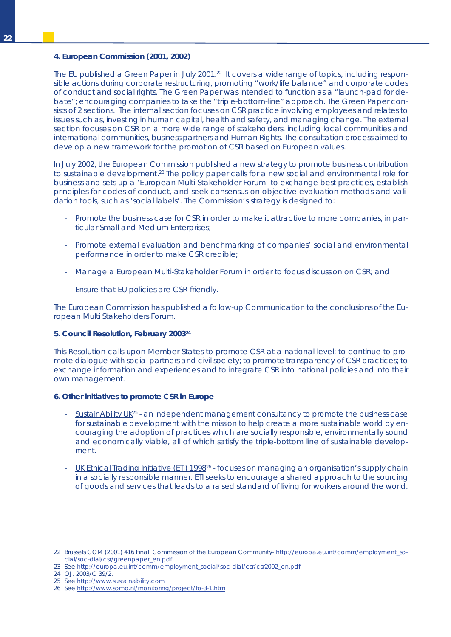#### *4. European Commission (2001, 2002)*

The EU published a Green Paper in July 2001. <sup>22</sup> It covers a wide range of topics, including responsible actions during corporate restructuring, promoting "work/life balance" and corporate codes of conduct and social rights. The Green Paper was intended to function as a "launch-pad for debate"; encouraging companies to take the "triple-bottom-line" approach. The Green Paper consists of 2 sections. The internal section focuses on CSR practice involving employees and relates to issues such as, investing in human capital, health and safety, and managing change. The external section focuses on CSR on a more wide range of stakeholders, including local communities and international communities, business partners and Human Rights. The consultation process aimed to develop a new framework for the promotion of CSR based on European values.

In July 2002, the European Commission published a new strategy to promote business contribution to sustainable development.<sup>23</sup> The policy paper calls for a new social and environmental role for business and sets up a 'European Multi-Stakeholder Forum' to exchange best practices, establish principles for codes of conduct, and seek consensus on objective evaluation methods and validation tools, such as 'social labels'. The Commission's strategy is designed to:

- Promote the business case for CSR in order to make it attractive to more companies, in particular Small and Medium Enterprises;
- Promote external evaluation and benchmarking of companies' social and environmental performance in order to make CSR credible;
- Manage a European Multi-Stakeholder Forum in order to focus discussion on CSR; and
- Ensure that EU policies are CSR-friendly.

The European Commission has published a follow-up Communication to the conclusions of the European Multi Stakeholders Forum.

#### *5. Council Resolution, February 200324*

This Resolution calls upon Member States to promote CSR at a national level; to continue to promote dialogue with social partners and civil society; to promote transparency of CSR practices; to exchange information and experiences and to integrate CSR into national policies and into their own management.

#### *6. Other initiatives to promote CSR in Europe*

- SustainAbility UK<sup>25</sup> an independent management consultancy to promote the business case for sustainable development with the mission to help create a more sustainable world by encouraging the adoption of practices which are socially responsible, environmentally sound and economically viable, all of which satisfy the triple-bottom line of sustainable development.
- UK Ethical Trading Initiative (ETI) 1998<sup>26</sup> focuses on managing an organisation's supply chain in a socially responsible manner. ETI seeks to encourage a shared approach to the sourcing of goods and services that leads to a raised standard of living for workers around the world.

<sup>22</sup> Brussels COM (2001) 416 Final. Commission of the European Community- http://europa.eu.int/comm/employment\_social/soc-dial/csr/greenpaper\_en.pdf

<sup>23</sup> See http://europa.eu.int/comm/employment\_social/soc-dial/csr/csr2002\_en.pdf

<sup>24</sup> OJ. 2003/C 39/2.

<sup>25</sup> See http://www.sustainability.com

<sup>26</sup> See http://www.somo.nl/monitoring/project/fo-3-1.htm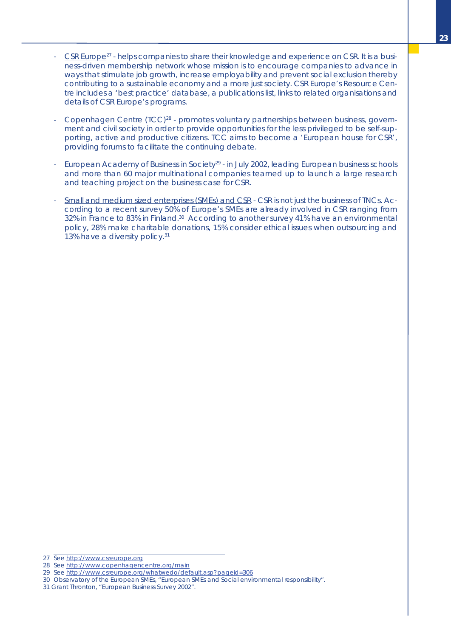- CSR Europe<sup>27</sup> helps companies to share their knowledge and experience on CSR. It is a business-driven membership network whose mission is to encourage companies to advance in ways that stimulate job growth, increase employability and prevent social exclusion thereby contributing to a sustainable economy and a more just society. CSR Europe's Resource Centre includes a 'best practice' database, a publications list, links to related organisations and details of CSR Europe's programs.
- Copenhagen Centre (TCC)<sup>28</sup> promotes voluntary partnerships between business, government and civil society in order to provide opportunities for the less privileged to be self-supporting, active and productive citizens. TCC aims to become a 'European house for CSR', providing forums to facilitate the continuing debate.
- European Academy of Business in Society<sup>29</sup> in July 2002, leading European business schools and more than 60 major multinational companies teamed up to launch a large research and teaching project on the business case for CSR.
- Small and medium sized enterprises (SMEs) and CSR CSR is not just the business of TNCs. According to a recent survey 50% of Europe's SMEs are already involved in CSR ranging from 32% in France to 83% in Finland.<sup>30</sup> According to another survey 41% have an environmental policy, 28% make charitable donations, 15% consider ethical issues when outsourcing and 13% have a diversity policy.<sup>31</sup>

<sup>27</sup> See http://www.csreurope.org

<sup>28</sup> See http://www.copenhagencentre.org/main

<sup>29</sup> See http://www.csreurope.org/whatwedo/default.asp?pageid=306

<sup>30</sup> Observatory of the European SMEs, "European SMEs and Social environmental responsibility".

<sup>31</sup> Grant Thronton, "European Business Survey 2002".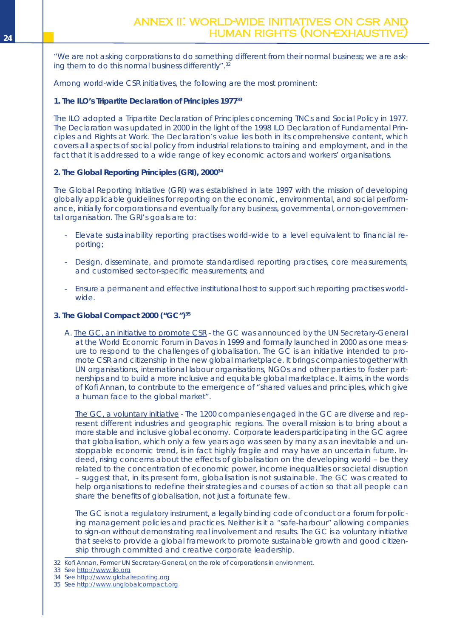## <span id="page-25-0"></span>ANNEX II: WORLD-WIDE INITIATIVES ON CSR AND **Example 24 Example 24 Construction of the Construction Construction of the HUMAN RIGHTS (NON-EXHAUSTIV**

*"We are not asking corporations to do something different from their normal business; we are asking them to do this normal business differently".* 32

Among world-wide CSR initiatives, the following are the most prominent:

## **1. The ILO's Tripartite Declaration of Principles 197733**

The ILO adopted a Tripartite Declaration of Principles concerning TNCs and Social Policy in 1977. The Declaration was updated in 2000 in the light of the 1998 ILO Declaration of Fundamental Principles and Rights at Work. The Declaration's value lies both in its comprehensive content, which covers all aspects of social policy from industrial relations to training and employment, and in the fact that it is addressed to a wide range of key economic actors and workers' organisations.

## **2. The Global Reporting Principles (GRI), 200034**

The Global Reporting Initiative (GRI) was established in late 1997 with the mission of developing globally applicable guidelines for reporting on the economic, environmental, and social performance, initially for corporations and eventually for any business, governmental, or non-governmental organisation. The GRI's goals are to:

- Elevate sustainability reporting practises world-wide to a level equivalent to financial reporting;
- Design, disseminate, and promote standardised reporting practises, core measurements, and customised sector-specific measurements; and
- Ensure a permanent and effective institutional host to support such reporting practises worldwide.
- **3. The Global Compact 2000 ("GC")35**
	- A. The GC, an initiative to promote CSR the GC was announced by the UN Secretary-General at the World Economic Forum in Davos in 1999 and formally launched in 2000 as one measure to respond to the challenges of globalisation. The GC is an initiative intended to promote CSR and citizenship in the new global marketplace. It brings companies together with UN organisations, international labour organisations, NGOs and other parties to foster partnerships and to build a more inclusive and equitable global marketplace. It aims, in the words of Kofi Annan, to contribute to the emergence of "shared values and principles, which give a human face to the global market".

The GC, a voluntary initiative - The 1200 companies engaged in the GC are diverse and represent different industries and geographic regions. The overall mission is to bring about a more stable and inclusive global economy. Corporate leaders participating in the GC agree that globalisation, which only a few years ago was seen by many as an inevitable and unstoppable economic trend, is in fact highly fragile and may have an uncertain future. Indeed, rising concerns about the effects of globalisation on the developing world – be they related to the concentration of economic power, income inequalities or societal disruption – suggest that, in its present form, globalisation is not sustainable. The GC was created to help organisations to redefine their strategies and courses of action so that all people can share the benefits of globalisation, not just a fortunate few.

The GC is not a regulatory instrument, a legally binding code of conduct or a forum for policing management policies and practices. Neither is it a "safe-harbour" allowing companies to sign-on without demonstrating real involvement and results. The GC is a voluntary initiative that seeks to provide a global framework to promote sustainable growth and good citizenship through committed and creative corporate leadership.

33 See http://www.ilo.org

<sup>32</sup> Kofi Annan, Former UN Secretary-General, on the role of corporations in environment.

<sup>34</sup> See http://www.globalreporting.org

<sup>35</sup> See http://www.unglobalcompact.org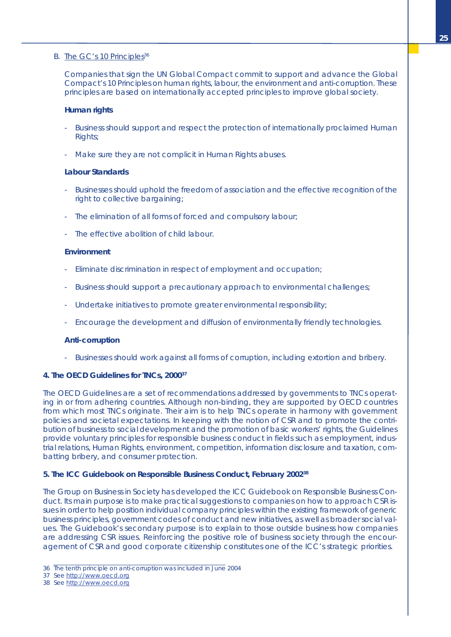## B. The GC's 10 Principles<sup>36</sup>

Companies that sign the UN Global Compact commit to support and advance the Global Compact's 10 Principles on human rights, labour, the environment and anti-corruption. These principles are based on internationally accepted principles to improve global society.

## **Human rights**

- Business should support and respect the protection of internationally proclaimed Human Rights;
- Make sure they are not complicit in Human Rights abuses.

## **Labour Standards**

- Businesses should uphold the freedom of association and the effective recognition of the right to collective bargaining;
- The elimination of all forms of forced and compulsory labour;
- The effective abolition of child labour.

#### **Environment**

- Eliminate discrimination in respect of employment and occupation;
- Business should support a precautionary approach to environmental challenges;
- Undertake initiatives to promote greater environmental responsibility;
- Encourage the development and diffusion of environmentally friendly technologies.

### **Anti-corruption**

- Businesses should work against all forms of corruption, including extortion and bribery.

## **4. The OECD Guidelines for TNCs, 200037**

The OECD Guidelines are a set of recommendations addressed by governments to TNCs operating in or from adhering countries. Although non-binding, they are supported by OECD countries from which most TNCs originate. Their aim is to help TNCs operate in harmony with government policies and societal expectations. In keeping with the notion of CSR and to promote the contribution of business to social development and the promotion of basic workers' rights, the Guidelines provide voluntary principles for responsible business conduct in fields such as employment, industrial relations, Human Rights, environment, competition, information disclosure and taxation, combatting bribery, and consumer protection.

## **5. The ICC Guidebook on Responsible Business Conduct, February 200238**

The Group on Business in Society has developed the ICC Guidebook on Responsible Business Conduct. Its main purpose is to make practical suggestions to companies on how to approach CSR issues in order to help position individual company principles within the existing framework of generic business principles, government codes of conduct and new initiatives, as well as broader social values. The Guidebook's secondary purpose is to explain to those outside business how companies are addressing CSR issues. Reinforcing the positive role of business society through the encouragement of CSR and good corporate citizenship constitutes one of the ICC's strategic priorities.

- 36 The tenth principle on anti-corruption was included in June 2004
- 37 See http://www.oecd.org
- 38 See http://www.oecd.org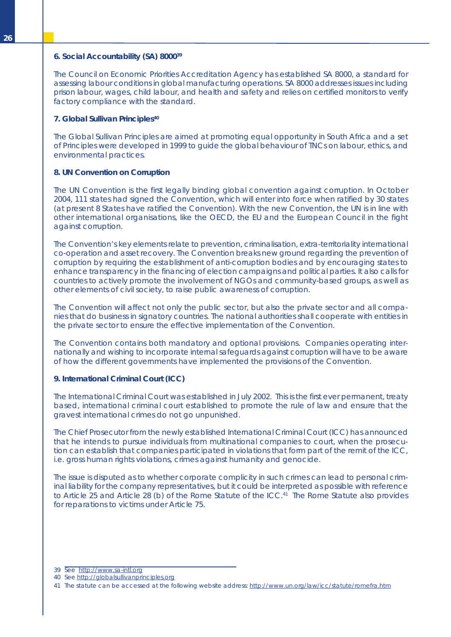### **6. Social Accountability (SA) 800039**

The Council on Economic Priorities Accreditation Agency has established SA 8000, a standard for assessing labour conditions in global manufacturing operations. SA 8000 addresses issues including prison labour, wages, child labour, and health and safety and relies on certified monitors to verify factory compliance with the standard.

## **7. Global Sullivan Principles40**

The Global Sullivan Principles are aimed at promoting equal opportunity in South Africa and a set of Principles were developed in 1999 to guide the global behaviour of TNCs on labour, ethics, and environmental practices.

## **8. UN Convention on Corruption**

The UN Convention is the first legally binding global convention against corruption. In October 2004, 111 states had signed the Convention, which will enter into force when ratified by 30 states (at present 8 States have ratified the Convention). With the new Convention, the UN is in line with other international organisations, like the OECD, the EU and the European Council in the fight against corruption.

The Convention's key elements relate to prevention, criminalisation, extra-territoriality international co-operation and asset recovery. The Convention breaks new ground regarding the prevention of corruption by requiring the establishment of anti-corruption bodies and by encouraging states to enhance transparency in the financing of election campaigns and political parties. It also calls for countries to actively promote the involvement of NGOs and community-based groups, as well as other elements of civil society, to raise public awareness of corruption.

The Convention will affect not only the public sector, but also the private sector and all companies that do business in signatory countries. The national authorities shall cooperate with entities in the private sector to ensure the effective implementation of the Convention.

The Convention contains both mandatory and optional provisions. Companies operating internationally and wishing to incorporate internal safeguards against corruption will have to be aware of how the different governments have implemented the provisions of the Convention.

## **9. International Criminal Court (ICC)**

The International Criminal Court was established in July 2002. This is the first ever permanent, treaty based, international criminal court established to promote the rule of law and ensure that the gravest international crimes do not go unpunished.

The Chief Prosecutor from the newly established International Criminal Court (ICC) has announced that he intends to pursue individuals from multinational companies to court, when the prosecution can establish that companies participated in violations that form part of the remit of the ICC, i.e. gross human rights violations, crimes against humanity and genocide.

The issue is disputed as to whether corporate complicity in such crimes can lead to personal criminal liability for the company representatives, but it could be interpreted as possible with reference to Article 25 and Article 28 (b) of the Rome Statute of the ICC. <sup>41</sup> The Rome Statute also provides for reparations to victims under Article 75.

<sup>39</sup> See http://www.sa-intl.org

<sup>40</sup> See http://globalsullivanprinciples.org

<sup>41</sup> The statute can be accessed at the following website address: <http://www.un.org/law/icc/statute/romefra.htm>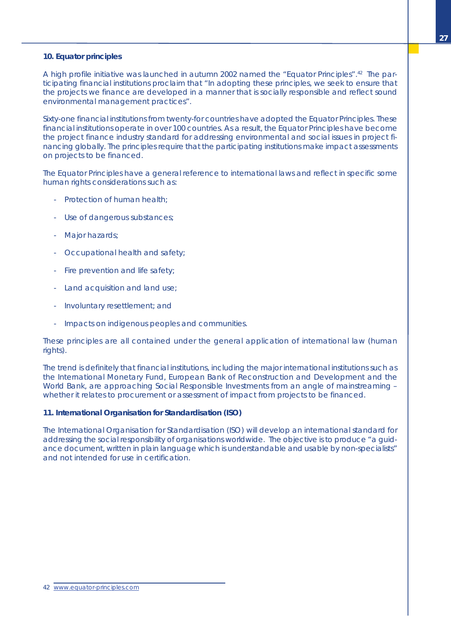## **10. Equator principles**

A high profile initiative was launched in autumn 2002 named the "Equator Principles".<sup>42</sup> The participating financial institutions proclaim that "In adopting these principles, we seek to ensure that the projects we finance are developed in a manner that is socially responsible and reflect sound environmental management practices".

Sixty-one financial institutions from twenty-for countries have adopted the Equator Principles. These financial institutions operate in over 100 countries. As a result, the Equator Principles have become the project finance industry standard for addressing environmental and social issues in project financing globally. The principles require that the participating institutions make impact assessments on projects to be financed.

The Equator Principles have a general reference to international laws and reflect in specific some human rights considerations such as:

- Protection of human health:
- Use of dangerous substances;
- Major hazards;
- Occupational health and safety;
- Fire prevention and life safety;
- Land acquisition and land use;
- Involuntary resettlement; and
- Impacts on indigenous peoples and communities.

These principles are all contained under the general application of international law (human rights).

The trend is definitely that financial institutions, including the major international institutions such as the International Monetary Fund, European Bank of Reconstruction and Development and the World Bank, are approaching Social Responsible Investments from an angle of mainstreaming – whether it relates to procurement or assessment of impact from projects to be financed.

## **11. International Organisation for Standardisation (ISO)**

The International Organisation for Standardisation (ISO) will develop an international standard for addressing the social responsibility of organisations worldwide. The objective is to produce "a guidance document, written in plain language which is understandable and usable by non-specialists" and not intended for use in certification.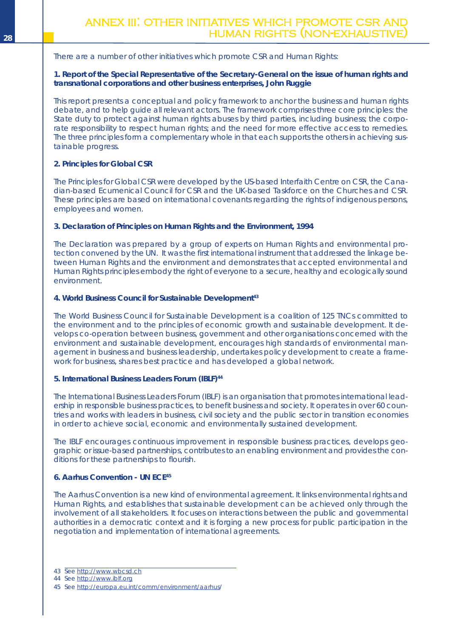## <span id="page-29-0"></span>There are a number of other initiatives which promote CSR and Human Rights:

## **1. Report of the Special Representative of the Secretary-General on the issue of human rights and transnational corporations and other business enterprises, John Ruggie**

This report presents a conceptual and policy framework to anchor the business and human rights debate, and to help guide all relevant actors. The framework comprises three core principles: the State duty to protect against human rights abuses by third parties, including business; the corporate responsibility to respect human rights; and the need for more effective access to remedies. The three principles form a complementary whole in that each supports the others in achieving sustainable progress.

## **2. Principles for Global CSR**

The Principles for Global CSR were developed by the US-based Interfaith Centre on CSR, the Canadian-based Ecumenical Council for CSR and the UK-based Taskforce on the Churches and CSR. These principles are based on international covenants regarding the rights of indigenous persons, employees and women.

## **3. Declaration of Principles on Human Rights and the Environment, 1994**

The Declaration was prepared by a group of experts on Human Rights and environmental protection convened by the UN. It was the first international instrument that addressed the linkage between Human Rights and the environment and demonstrates that accepted environmental and Human Rights principles embody the right of everyone to a secure, healthy and ecologically sound environment.

## **4. World Business Council for Sustainable Development 43**

The World Business Council for Sustainable Development is a coalition of 125 TNCs committed to the environment and to the principles of economic growth and sustainable development. It develops co-operation between business, government and other organisations concerned with the environment and sustainable development, encourages high standards of environmental management in business and business leadership, undertakes policy development to create a framework for business, shares best practice and has developed a global network.

## **5. International Business Leaders Forum (IBLF)44**

The International Business Leaders Forum (IBLF) is an organisation that promotes international leadership in responsible business practices, to benefit business and society. It operates in over 60 countries and works with leaders in business, civil society and the public sector in transition economies in order to achieve social, economic and environmentally sustained development.

The IBLF encourages continuous improvement in responsible business practices, develops geographic or issue-based partnerships, contributes to an enabling environment and provides the conditions for these partnerships to flourish.

## **6. Aarhus Convention - UN ECE45**

The Aarhus Convention is a new kind of environmental agreement. It links environmental rights and Human Rights, and establishes that sustainable development can be achieved only through the involvement of all stakeholders. It focuses on interactions between the public and governmental authorities in a democratic context and it is forging a new process for public participation in the negotiation and implementation of international agreements.

<sup>43</sup> See http://www.wbcsd.ch

<sup>44</sup> See http://www.iblf.org

<sup>45</sup> See http://europa.eu.int/comm/environment/aarhus/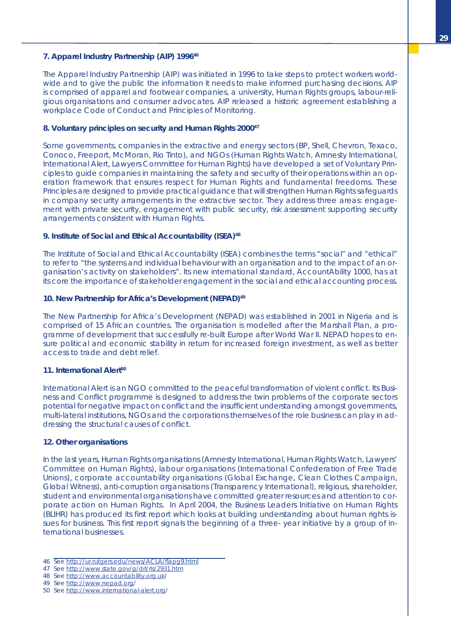## **7. Apparel Industry Partnership (AIP) 199646**

The Apparel Industry Partnership (AIP) was initiated in 1996 to take steps to protect workers worldwide and to give the public the information it needs to make informed purchasing decisions. AIP is comprised of apparel and footwear companies, a university, Human Rights groups, labour-religious organisations and consumer advocates. AIP released a historic agreement establishing a workplace Code of Conduct and Principles of Monitoring.

## **8. Voluntary principles on security and Human Rights 200047**

Some governments, companies in the extractive and energy sectors (BP, Shell, Chevron, Texaco, Conoco, Freeport, McMoran, Rio Tinto), and NGOs (Human Rights Watch, Amnesty International, International Alert, Lawyers Committee for Human Rights) have developed a set of Voluntary Principles to guide companies in maintaining the safety and security of their operations within an operation framework that ensures respect for Human Rights and fundamental freedoms. These Principles are designed to provide practical guidance that will strengthen Human Rights safeguards in company security arrangements in the extractive sector. They address three areas: engagement with private security, engagement with public security, risk assessment supporting security arrangements consistent with Human Rights.

## **9. Institute of Social and Ethical Accountability (ISEA)48**

The Institute of Social and Ethical Accountability (ISEA) combines the terms "social" and "ethical" to refer to "the systems and individual behaviour with an organisation and to the impact of an organisation's activity on stakeholders". Its new international standard, AccountAbility 1000, has at its core the importance of stakeholder engagement in the social and ethical accounting process.

#### **10. New Partnership for Africa's Development (NEPAD)49**

The New Partnership for Africa's Development (NEPAD) was established in 2001 in Nigeria and is comprised of 15 African countries. The organisation is modelled after the Marshall Plan, a programme of development that successfully re-built Europe after World War II. NEPAD hopes to ensure political and economic stability in return for increased foreign investment, as well as better access to trade and debt relief.

#### **11. International Alert 50**

International Alert is an NGO committed to the peaceful transformation of violent conflict. Its Business and Conflict programme is designed to address the twin problems of the corporate sectors potential for negative impact on conflict and the insufficient understanding amongst governments, multi-lateral institutions, NGOs and the corporations themselves of the role business can play in addressing the structural causes of conflict.

#### **12. Other organisations**

In the last years, Human Rights organisations (Amnesty International, Human Rights Watch, Lawyers' Committee on Human Rights), labour organisations (International Confederation of Free Trade Unions), corporate accountability organisations (Global Exchange, Clean Clothes Campaign, Global Witness), anti-corruption organisations (Transparency International), religious, shareholder, student and environmental organisations have committed greater resources and attention to corporate action on Human Rights. In April 2004, the Business Leaders Initiative on Human Rights (BLIHR) has produced its first report which looks at building understanding about human rights issues for business. This first report signals the beginning of a three- year initiative by a group of international businesses.

- 46 See http://ur.rutgers.edu/news/ACLA/flapg9.html
- 47 See http://www.state.gov/g/drl/rls/2931.htm
- 48 See http://www.accountability.org.uk/
- 49 See http://www.nepad.org/

<sup>50</sup> See http://www.international-alert.org/